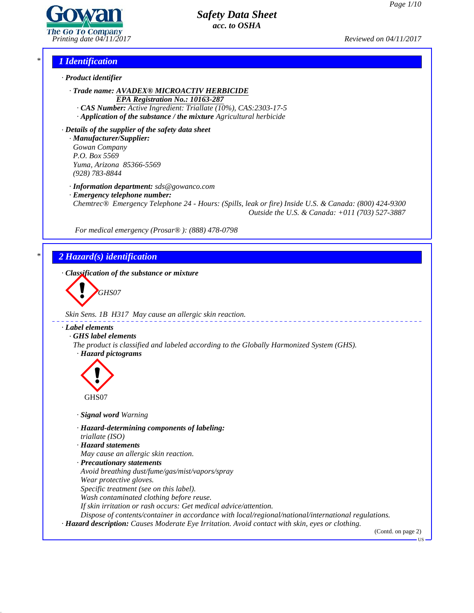

*Printing date 04/11/2017 Reviewed on 04/11/2017*

## *\* 1 Identification*

- *· Product identifier*
	- *· Trade name: AVADEX® MICROACTIV HERBICIDE EPA Registration No.: 10163-287*
		- *· CAS Number: Active Ingredient: Triallate (10%), CAS:2303-17-5*
	- *· Application of the substance / the mixture Agricultural herbicide*

*· Details of the supplier of the safety data sheet · Manufacturer/Supplier: Gowan Company P.O. Box 5569 Yuma, Arizona 85366-5569 (928) 783-8844*

*· Information department: sds@gowanco.com*

*· Emergency telephone number:*

*Chemtrec® Emergency Telephone 24 - Hours: (Spills, leak or fire) Inside U.S. & Canada: (800) 424-9300 Outside the U.S. & Canada: +011 (703) 527-3887*

*For medical emergency (Prosar® ): (888) 478-0798*

# *\* 2 Hazard(s) identification*

*· Classification of the substance or mixture*

**GHS07** 

*Skin Sens. 1B H317 May cause an allergic skin reaction.*

### *· Label elements*

*· GHS label elements*

*The product is classified and labeled according to the Globally Harmonized System (GHS). · Hazard pictograms*



*· Signal word Warning*

*· Hazard-determining components of labeling:*

*triallate (ISO)*

44.2.1

- *· Hazard statements*
- *May cause an allergic skin reaction.*
- *· Precautionary statements*
- *Avoid breathing dust/fume/gas/mist/vapors/spray*
- *Wear protective gloves.*
- *Specific treatment (see on this label).*
- *Wash contaminated clothing before reuse.*
- *If skin irritation or rash occurs: Get medical advice/attention.*
- *Dispose of contents/container in accordance with local/regional/national/international regulations.*
- *· Hazard description: Causes Moderate Eye Irritation. Avoid contact with skin, eyes or clothing.*

(Contd. on page 2)

**HS**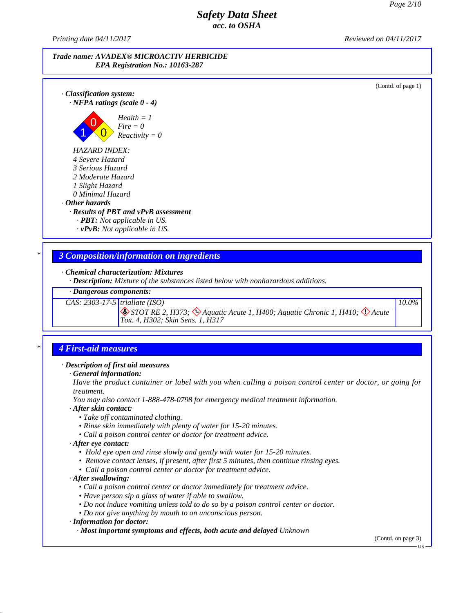*Printing date 04/11/2017 Reviewed on 04/11/2017*



(Contd. of page 1)

*10.0%*

*· Classification system: · NFPA ratings (scale 0 - 4)*



*HAZARD INDEX:*

*4 Severe Hazard*

*3 Serious Hazard*

*2 Moderate Hazard*

*1 Slight Hazard*

*0 Minimal Hazard*

## *· Other hazards*

*· Results of PBT and vPvB assessment*

*· PBT: Not applicable in US.*

*· vPvB: Not applicable in US.*

## *\* 3 Composition/information on ingredients*

## *· Chemical characterization: Mixtures*

*· Description: Mixture of the substances listed below with nonhazardous additions.*

## *· Dangerous components:*

*CAS: 2303-17-5 triallate (ISO)*

⊗ STOT RE 2, H373; ⊗ Aquatic Acute 1, H400; Aquatic Chronic 1, H410; ◇ Acute<br>Tox. 4, H302; Skin Sens. 1, H317

## *\* 4 First-aid measures*

### *· Description of first aid measures*

### *· General information:*

Have the product container or label with you when calling a poison control center or doctor, or going for *treatment.*

*You may also contact 1-888-478-0798 for emergency medical treatment information.*

### *· After skin contact:*

- *• Take of contaminated clothing.*
- *• Rinse skin immediately with plenty of water for 15-20 minutes.*
- *• Call a poison control center or doctor for treatment advice.*

### *· After eye contact:*

- *• Hold eye open and rinse slowly and gently with water for 15-20 minutes.*
- *• Remove contact lenses, if present, after first 5 minutes, then continue rinsing eyes.*
- *• Call a poison control center or doctor for treatment advice.*

### *· After swallowing:*

44.2.1

- *• Call a poison control center or doctor immediately for treatment advice.*
- *• Have person sip a glass of water ifable to swallow.*
- *• Do not induce vomiting unless told to do so by a poison control center or doctor.*
- *• Do not give anything by mouth to an unconscious person.*

### *· Information for doctor:*

*· Most important symptoms and effects, both acute and delayed Unknown*

(Contd. on page 3)

**TIS**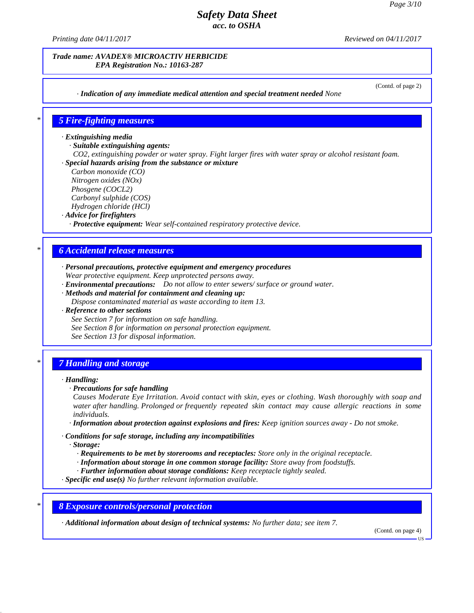(Contd. of page 2)

# *Safety Data Sheet acc. to OSHA*

*Printing date 04/11/2017 Reviewed on 04/11/2017*

*Trade name: AVADEX® MICROACTIV HERBICIDE EPA Registration No.: 10163-287*

*· Indication of any immediate medical attention and special treatment needed None*

*\* 5 Fire-fighting measures*

*· Extinguishing media*

*· Suitable extinguishing agents:*

*CO2, extinguishing powder or water spray. Fight larger fires with water spray or alcohol resistant foam. · Special hazards arising from the substance or mixture*

*Carbon monoxide (CO)*

*Nitrogen oxides (NOx)*

*Phosgene (COCL2)*

*Carbonyl sulphide (COS) Hydrogen chloride (HCl)*

*· Advice for firefighters*

*· Protective equipment: Wear self-contained respiratory protective device.*

## *\* 6 Accidental release measures*

*· Personal precautions, protective equipment and emergency procedures Wear protective equipment. Keep unprotected persons away.*

*· Environmental precautions: Do not allow to enter sewers/ surface or ground water.*

*· Methods and material for containment and cleaning up:*

*Dispose contaminated material as waste according to item 13.*

*· Reference to other sections*

*See Section 7 for information on safe handling. See Section 8 for information on personal protection equipment. See Section 13 for disposal information.*

## *\* 7 Handling and storage*

### *· Handling:*

*· Precautions for safe handling*

*Causes Moderate Eye Irritation. Avoid contact with skin, eyes or clothing. Wash thoroughly with soap and water after handling. Prolonged or frequently repeated skin contact may cause allergic reactions in some individuals.*

*· Information about protection against explosions and fires: Keep ignition sources away - Do not smoke.*

*· Conditions for safe storage, including any incompatibilities*

*· Storage:*

44.2.1

*· Requirements to be met by storerooms and receptacles: Store only in the original receptacle.*

*· Information about storage in one common storage facility: Store away from foodstuf s.*

*· Further information about storage conditions: Keep receptacle tightly sealed.*

*· Specific end use(s) No further relevant information available.*

*\* 8 Exposure controls/personal protection*

*· Additional information about design of technical systems: No further data; see item 7.*

(Contd. on page 4)

US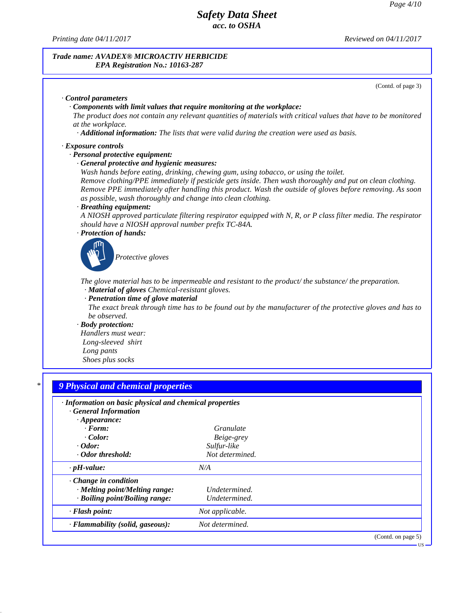*Printing date 04/11/2017 Reviewed on 04/11/2017*

### *Trade name: AVADEX® MICROACTIV HERBICIDE EPA Registration No.: 10163-287*

(Contd. of page 3) *· Control parameters · Components with limit values that require monitoring at the workplace:* The product does not contain any relevant quantities of materials with critical values that have to be monitored *at the workplace. · Additional information: The lists that were valid during the creation were used as basis. · Exposure controls · Personal protective equipment: · General protective and hygienic measures: Wash hands before eating, drinking, chewing gum, using tobacco, or using the toilet. Remove clothing/PPE immediately if pesticide gets inside. Then wash thoroughly and put on clean clothing. Remove PPE immediately after handling this product. Wash the outside of gloves before removing. As soon as possible, wash thoroughly and change into clean clothing. · Breathing equipment:* A NIOSH approved particulate filtering respirator equipped with N, R, or P class filter media. The respirator *should have a NIOSH approval number prefix TC-84A. · Protection of hands: Protective gloves The glove material has to be impermeable and resistant to the product/ the substance/ the preparation. · Material of gloves Chemical-resistant gloves. · Penetration time of glove material* The exact break through time has to be found out by the manufacturer of the protective gloves and has to *be observed. · Body protection: Handlers must wear: Long-sleeved shirt Long pants Shoes plus socks \* 9 Physical and chemical properties · Information on basic physical and chemical properties · General Information · Appearance: · Form: Granulate · Color: Beige-grey · Odor: Sulfur-like · Odor threshold: Not determined. · pH-value: N/A · Change in condition · Melting point/Melting range: Undetermined. · Boiling point/Boiling range: Undetermined. · Flash point: Not applicable.*

*· Flammability (solid, gaseous): Not determined.*

44.2.1

(Contd. on page 5)

US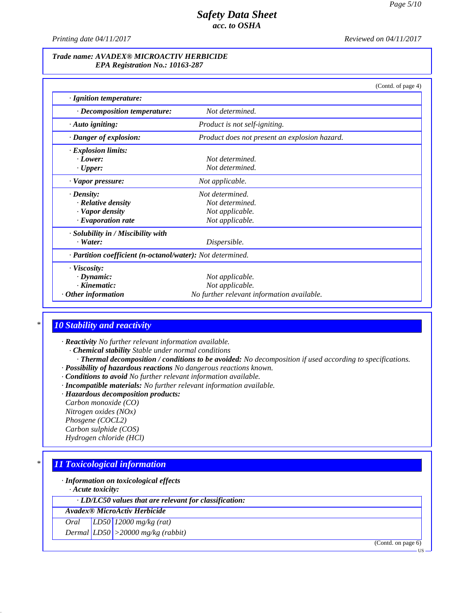*Printing date 04/11/2017 Reviewed on 04/11/2017*

### *Trade name: AVADEX® MICROACTIV HERBICIDE EPA Registration No.: 10163-287*

|                                                            |                                               | (Contd. of page 4) |
|------------------------------------------------------------|-----------------------------------------------|--------------------|
| · Ignition temperature:                                    |                                               |                    |
| · Decomposition temperature:                               | Not determined.                               |                    |
| · Auto igniting:                                           | Product is not self-igniting.                 |                    |
| · Danger of explosion:                                     | Product does not present an explosion hazard. |                    |
| · Explosion limits:                                        |                                               |                    |
| $\cdot$ Lower:                                             | Not determined.                               |                    |
| $\cdot$ Upper:                                             | Not determined.                               |                    |
| · Vapor pressure:                                          | Not applicable.                               |                    |
| $\cdot$ Density:                                           | Not determined.                               |                    |
| · Relative density                                         | Not determined.                               |                    |
| · Vapor density                                            | Not applicable.                               |                    |
| $\cdot$ Evaporation rate                                   | Not applicable.                               |                    |
| · Solubility in / Miscibility with                         |                                               |                    |
| $\cdot$ Water:                                             | Dispersible.                                  |                    |
| · Partition coefficient (n-octanol/water): Not determined. |                                               |                    |
| · Viscosity:                                               |                                               |                    |
| $\cdot$ Dynamic:                                           | Not applicable.                               |                    |
| $\cdot$ Kinematic:                                         | Not applicable.                               |                    |
| $\cdot$ Other information                                  | No further relevant information available.    |                    |

# *\* 10 Stability and reactivity*

*· Reactivity No further relevant information available.*

- *· Chemical stability Stable under normal conditions*
- *· Thermal decomposition / conditions to be avoided: No decomposition if used according to specifications. · Possibility of hazardous reactions No dangerous reactions known.*
- *· Conditions to avoid No further relevant information available.*
- *· Incompatible materials: No further relevant information available.*
- *· Hazardous decomposition products:*

*Carbon monoxide (CO) Nitrogen oxides (NOx) Phosgene (COCL2)*

*Carbon sulphide (COS) Hydrogen chloride (HCl)*

# *\* 11 Toxicological information*

*· Information on toxicological effects*

*· Acute toxicity:*

44.2.1

*· LD/LC50 values that are relevant for classification:*

*Avadex® MicroActiv Herbicide*

*Oral LD50 12000 mg/kg (rat) Dermal LD50 >20000 mg/kg (rabbit)*

(Contd. on page 6)

**TIS**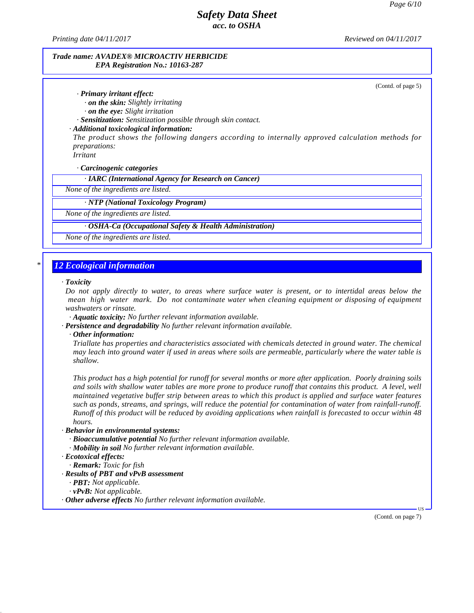*Printing date 04/11/2017 Reviewed on 04/11/2017*

### *Trade name: AVADEX® MICROACTIV HERBICIDE EPA Registration No.: 10163-287*

(Contd. of page 5)

## *· Primary irritant effect:*

*· on the skin: Slightly irritating*

*· on the eye: Slight irritation*

*· Sensitization: Sensitization possible through skin contact.*

### *· Additional toxicological information:*

*The product shows the following dangers according to internally approved calculation methods for preparations:*

*Irritant*

*· Carcinogenic categories*

*· IARC (International Agency for Research on Cancer)*

*None of the ingredients are listed.*

*· NTP (National Toxicology Program)*

*None of the ingredients are listed.*

### *· OSHA-Ca (Occupational Safety & Health Administration)*

*None of the ingredients are listed.*

## *\* 12 Ecological information*

### *· Toxicity*

Do not apply directly to water, to areas where surface water is present, or to intertidal areas below the *mean high water mark. Do not contaminate water when cleaning equipment or disposing of equipment washwaters or rinsate.*

*· Aquatic toxicity: No further relevant information available.*

*· Persistence and degradability No further relevant information available.*

*· Other information:*

*Triallate has properties and characteristics associated with chemicals detected in ground water. The chemical* may leach into ground water if used in areas where soils are permeable, particularly where the water table is *shallow.*

This product has a high potential for runoff for several months or more after application. Poorly draining soils and soils with shallow water tables are more prone to produce runoff that contains this product. A level, well *maintained vegetative buffer strip between areas to which this product is applied and surface water features* such as ponds, streams, and springs, will reduce the potential for contamination of water from rainfall-runoff. Runoff of this product will be reduced by avoiding applications when rainfall is forecasted to occur within 48 *hours.*

#### *· Behavior in environmental systems:*

*· Bioaccumulative potential No further relevant information available. · Mobility in soil No further relevant information available.*

44.2.1

*· Remark: Toxic for fish*

*· Results of PBT and vPvB assessment*

*· PBT: Not applicable.*

*· vPvB: Not applicable.*

*· Other adverse effects No further relevant information available.*

(Contd. on page 7)

 $\overline{US}$   $\longrightarrow$ 

*<sup>·</sup> Ecotoxical effects:*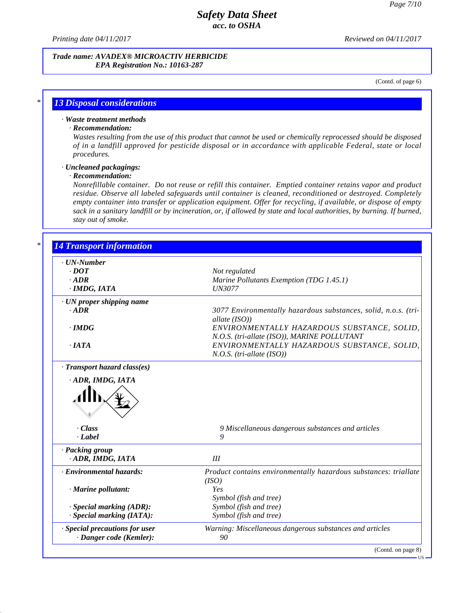*Printing date 04/11/2017 Reviewed on 04/11/2017*

### *Trade name: AVADEX® MICROACTIV HERBICIDE EPA Registration No.: 10163-287*

(Contd. of page 6)

# *\* 13 Disposal considerations*

## *· Waste treatment methods*

### *· Recommendation:*

Wastes resulting from the use of this product that cannot be used or chemically reprocessed should be disposed *of in a landfill approved for pesticide disposal or in accordance with applicable Federal, state or local procedures.*

### *· Uncleaned packagings:*

## *· Recommendation:*

44.2.1

*Nonrefillable container. Do notreuse or refill this container. Emptied container retains vapor and product residue. Observe all labeled safeguards until container is cleaned, reconditioned or destroyed. Completely empty container into transfer or application equipment. Offer for recycling, if available, or dispose of empty* sack in a sanitary landfill or by incineration, or, if allowed by state and local authorities, by burning. If burned, *stay out of smoke.*

| · UN-Number                                                                   |                                                                  |  |
|-------------------------------------------------------------------------------|------------------------------------------------------------------|--|
| $.$ DOT                                                                       | Not regulated                                                    |  |
| $.$ <i>ADR</i>                                                                | Marine Pollutants Exemption (TDG 1.45.1)                         |  |
| · IMDG, IATA                                                                  | <b>UN3077</b>                                                    |  |
| · UN proper shipping name                                                     |                                                                  |  |
| $-ADR$                                                                        | 3077 Environmentally hazardous substances, solid, n.o.s. (tri-   |  |
|                                                                               | allate (ISO))                                                    |  |
| $\cdot$ IMDG                                                                  | ENVIRONMENTALLY HAZARDOUS SUBSTANCE, SOLID,                      |  |
|                                                                               | N.O.S. (tri-allate (ISO)), MARINE POLLUTANT                      |  |
| $\cdot$ <i>IATA</i>                                                           | ENVIRONMENTALLY HAZARDOUS SUBSTANCE, SOLID,                      |  |
|                                                                               | $N.O.S.$ (tri-allate (ISO))                                      |  |
|                                                                               |                                                                  |  |
| · Transport hazard class(es)                                                  |                                                                  |  |
|                                                                               |                                                                  |  |
|                                                                               |                                                                  |  |
| · ADR, IMDG, IATA                                                             |                                                                  |  |
|                                                                               |                                                                  |  |
| . Class                                                                       | 9 Miscellaneous dangerous substances and articles                |  |
| $\cdot$ <i>Label</i>                                                          | 9                                                                |  |
|                                                                               |                                                                  |  |
| ADR, IMDG, IATA                                                               | III                                                              |  |
|                                                                               | Product contains environmentally hazardous substances: triallate |  |
|                                                                               | (ISO)                                                            |  |
| · Marine pollutant:                                                           | Yes                                                              |  |
|                                                                               | Symbol (fish and tree)                                           |  |
|                                                                               |                                                                  |  |
| · Special marking (ADR):<br>· Special marking (IATA):                         | Symbol (fish and tree)<br>Symbol (fish and tree)                 |  |
| · Packing group<br>· Environmental hazards:<br>· Special precautions for user | Warning: Miscellaneous dangerous substances and articles         |  |

US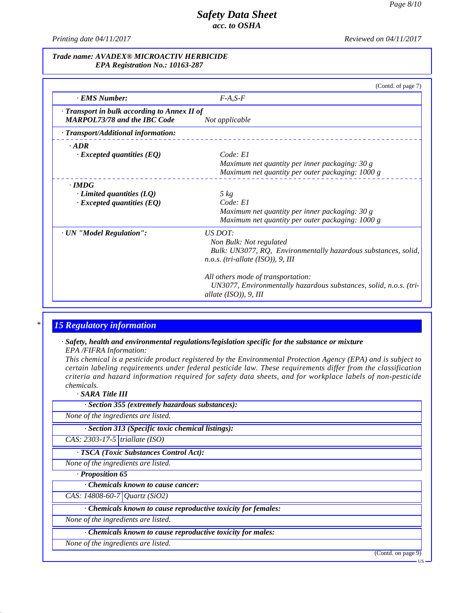*Printing date 04/11/2017 Reviewed on 04/11/2017*

### *Trade name: AVADEX® MICROACTIV HERBICIDE EPA Registration No.: 10163-287*

|                                                                                     | (Contd. of page 7)                                                                                                                                 |
|-------------------------------------------------------------------------------------|----------------------------------------------------------------------------------------------------------------------------------------------------|
| · EMS Number:                                                                       | $F-A, S-F$                                                                                                                                         |
| · Transport in bulk according to Annex II of<br><b>MARPOL73/78 and the IBC Code</b> | Not applicable                                                                                                                                     |
| · Transport/Additional information:                                                 |                                                                                                                                                    |
| $\cdot$ ADR<br>$\cdot$ Excepted quantities (EQ)                                     | Code: El<br>Maximum net quantity per inner packaging: 30 g<br>Maximum net quantity per outer packaging: 1000 g                                     |
| $\cdot$ IMDG<br>$\cdot$ Limited quantities (LQ)<br>$\cdot$ Excepted quantities (EQ) | $5 \ kg$<br>Code: El<br>Maximum net quantity per inner packaging: 30 g<br>Maximum net quantity per outer packaging: 1000 g                         |
| · UN "Model Regulation":                                                            | <i>US DOT:</i><br>Non Bulk: Not regulated<br>Bulk: UN3077, RQ, Environmentally hazardous substances, solid,<br>$n.o.s.$ (tri-allate (ISO)), 9, III |
|                                                                                     | All others mode of transportation:<br>UN3077, Environmentally hazardous substances, solid, n.o.s. (tri-<br>allate $(ISO)$ ), 9, III                |

# *\* 15 Regulatory information*

*· Safety, health and environmental regulations/legislation specific for the substance or mixture EPA /FIFRA Information:*

This chemical is a pesticide product registered by the Environmental Protection Agency (EPA) and is subject to *certain labeling requirements under federal pesticide law. These requirements differ from the classification criteria and hazard information required for safety data sheets, and for workplace labels of non-pesticide chemicals.*

*· SARA Title III*

44.2.1

| · Section 355 (extremely hazardous substances):               |  |  |
|---------------------------------------------------------------|--|--|
| None of the ingredients are listed.                           |  |  |
| · Section 313 (Specific toxic chemical listings):             |  |  |
| CAS: $2303-17-5$ triallate (ISO)                              |  |  |
| · TSCA (Toxic Substances Control Act):                        |  |  |
| None of the ingredients are listed.                           |  |  |
| · Proposition 65                                              |  |  |
| Chemicals known to cause cancer:                              |  |  |
| CAS: 14808-60-7 Quartz (SiO2)                                 |  |  |
| · Chemicals known to cause reproductive toxicity for females: |  |  |
| None of the ingredients are listed.                           |  |  |
| · Chemicals known to cause reproductive toxicity for males:   |  |  |
| None of the ingredients are listed.                           |  |  |

(Contd. on page 9)

US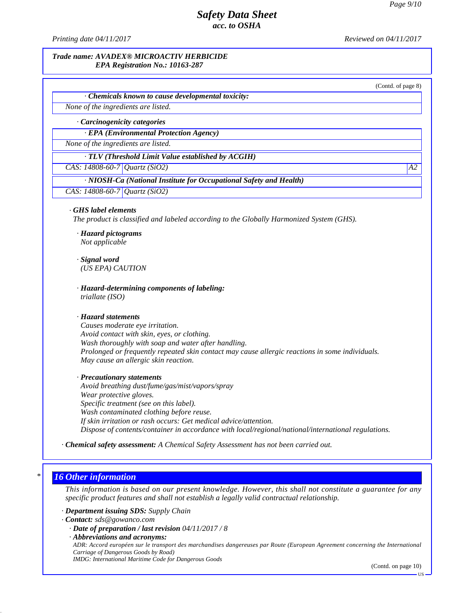*Printing date 04/11/2017 Reviewed on 04/11/2017*

### *Trade name: AVADEX® MICROACTIV HERBICIDE EPA Registration No.: 10163-287*

(Contd. of page 8)

*· Chemicals known to cause developmental toxicity:*

*None of the ingredients are listed.*

*· Carcinogenicity categories*

*· EPA (Environmental Protection Agency)*

*None of the ingredients are listed.*

*· TLV (Threshold Limit Value established by ACGIH)*

*CAS: 14808-60-7 Quartz (SiO2) A2*

### *· NIOSH-Ca (National Institute for Occupational Safety and Health)*

*CAS: 14808-60-7 Quartz (SiO2)*

### *· GHS label elements*

*The product is classified and labeled according to the Globally Harmonized System (GHS).*

*· Hazard pictograms Not applicable*

*· Signal word (US EPA) CAUTION*

*· Hazard-determining components of labeling: triallate (ISO)*

### *· Hazard statements*

*Causes moderate eye irritation. Avoid contact with skin, eyes, or clothing. Wash thoroughly with soap and water after handling. Prolonged or frequently repeated skin contact may cause allergic reactions in some individuals. May cause an allergic skin reaction.*

### *· Precautionary statements*

*Avoid breathing dust/fume/gas/mist/vapors/spray Wear protective gloves. Specific treatment (see on this label). Wash contaminated clothing before reuse. If skin irritation or rash occurs: Get medical advice/attention. Dispose of contents/container in accordance with local/regional/national/international regulations.*

### *· Chemical safety assessment: A Chemical Safety Assessment has not been carried out.*

## *\* 16 Other information*

44.2.1

This information is based on our present knowledge. However, this shall not constitute a guarantee for any *specific product features and shall not establish a legally valid contractual relationship.*

*· Department issuing SDS: Supply Chain*

*· Contact: sds@gowanco.com*

*· Date of preparation / last revision 04/11/2017 / 8*

*· Abbreviations and acronyms:*

ADR: Accord européen sur le transport des marchandises dangereuses par Route (European Agreement concerning the International *Carriage of Dangerous Goods by Road)*

*IMDG: International Maritime Code for Dangerous Goods*

(Contd. on page 10)

 $\mathbf{U}\mathbf{S}$   $\overline{\phantom{0}}$